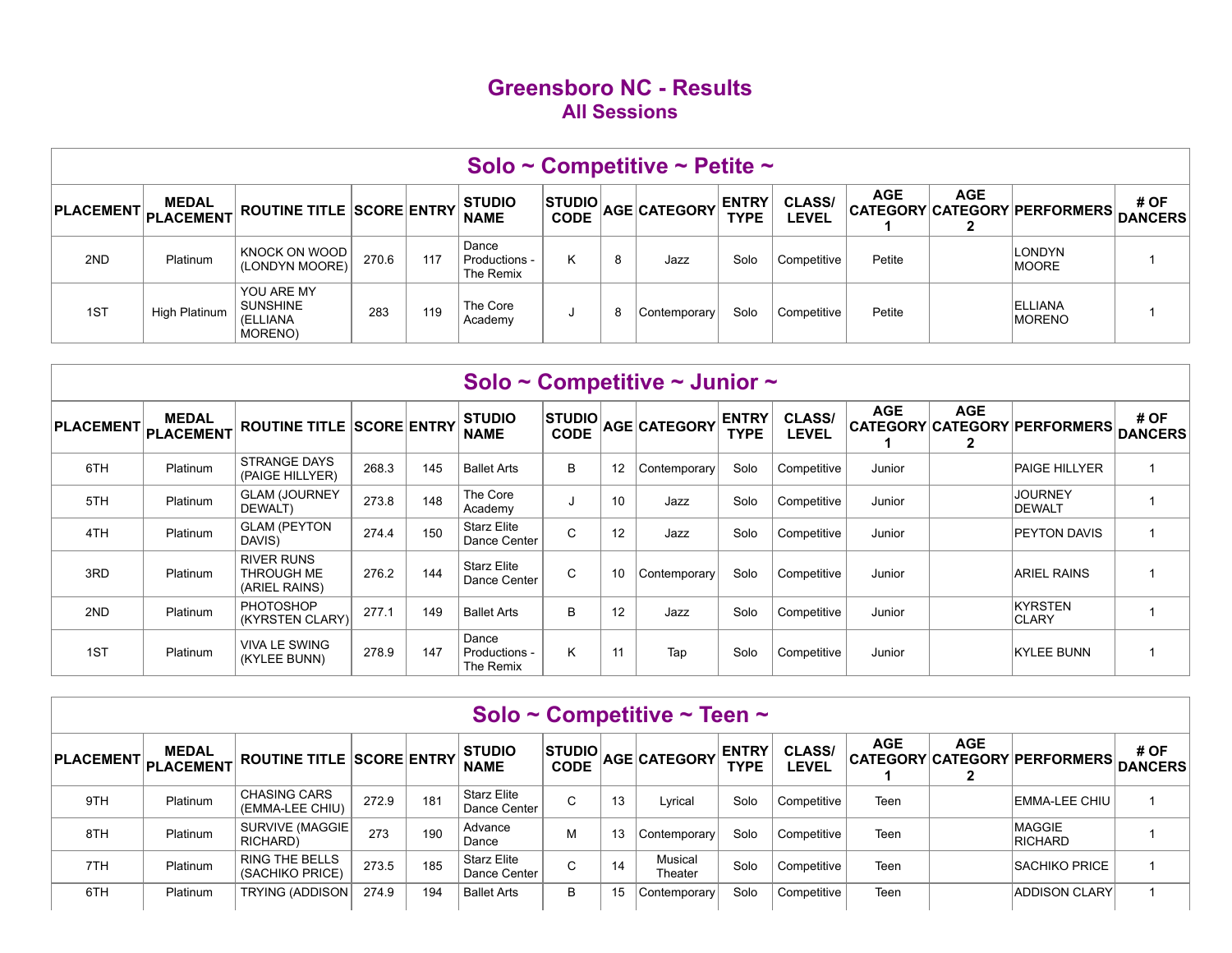## **Greensboro NC - Results All Sessions**

|                  |                                  |                                                      |       |     |                                       |                              |   | Solo ~ Competitive ~ Petite ~ |                             |                               |            |            |                                 |                        |
|------------------|----------------------------------|------------------------------------------------------|-------|-----|---------------------------------------|------------------------------|---|-------------------------------|-----------------------------|-------------------------------|------------|------------|---------------------------------|------------------------|
| <b>PLACEMENT</b> | <b>MEDAL</b><br><b>PLACEMENT</b> | <b>ROUTINE TITLE SCORE ENTRY</b>                     |       |     | <b>STUDIO</b><br><b>NAME</b>          | <b>STUDIO</b><br><b>CODE</b> |   | AGE CATEGORY                  | <b>ENTRY</b><br><b>TYPE</b> | <b>CLASS/</b><br><b>LEVEL</b> | <b>AGE</b> | <b>AGE</b> | CATEGORY CATEGORY PERFORMERS    | # OF<br><b>DANCERS</b> |
| 2ND              | Platinum                         | KNOCK ON WOOD<br>(LONDYN MOORE)                      | 270.6 | 117 | Dance<br>⊦ Productions -<br>The Remix | rv.                          | 8 | Jazz                          | Solo                        | Competitive                   | Petite     |            | <b>LONDYN</b><br><b>MOORE</b>   |                        |
| 1ST              | High Platinum                    | YOU ARE MY<br><b>SUNSHINE</b><br>(ELLIANA<br>MORENO) | 283   | 119 | The Core<br>Academy                   |                              | 8 | Contemporary                  | Solo                        | Competitive                   | Petite     |            | <b>ELLIANA</b><br><b>MORENO</b> |                        |

|                  |                           |                                                  |       |     | Solo ~ Competitive ~ Junior ~       |                              |    |              |                             |                               |            |            |                                  |                         |
|------------------|---------------------------|--------------------------------------------------|-------|-----|-------------------------------------|------------------------------|----|--------------|-----------------------------|-------------------------------|------------|------------|----------------------------------|-------------------------|
| <b>PLACEMENT</b> | <b>MEDAL</b><br>PLACEMENT | <b>ROUTINE TITLE SCORE ENTRY</b>                 |       |     | <b>STUDIO</b><br><b>NAME</b>        | <b>STUDIO</b><br><b>CODE</b> |    | AGE CATEGORY | <b>ENTRY</b><br><b>TYPE</b> | <b>CLASS/</b><br><b>LEVEL</b> | <b>AGE</b> | <b>AGE</b> | CATEGORY CATEGORY PERFORMERS     | # OF<br><b>DANCERS</b>  |
| 6TH              | Platinum                  | <b>STRANGE DAYS</b><br>(PAIGE HILLYER)           | 268.3 | 145 | <b>Ballet Arts</b>                  | В                            | 12 | Contemporary | Solo                        | Competitive                   | Junior     |            | <b>PAIGE HILLYER</b>             |                         |
| 5TH              | Platinum                  | <b>GLAM (JOURNEY</b><br>DEWALT)                  | 273.8 | 148 | The Core<br>Academy                 |                              | 10 | Jazz         | Solo                        | Competitive                   | Junior     |            | <b>JOURNEY</b><br><b>IDEWALT</b> |                         |
| 4TH              | Platinum                  | <b>GLAM (PEYTON</b><br>DAVIS)                    | 274.4 | 150 | <b>Starz Elite</b><br>Dance Center  | C                            | 12 | Jazz         | Solo                        | Competitive                   | Junior     |            | <b>PEYTON DAVIS</b>              | $\overline{\mathbf{1}}$ |
| 3RD              | Platinum                  | <b>RIVER RUNS</b><br>THROUGH ME<br>(ARIEL RAINS) | 276.2 | 144 | <b>Starz Elite</b><br>Dance Center  | C                            | 10 | Contemporary | Solo                        | Competitive                   | Junior     |            | <b>ARIEL RAINS</b>               |                         |
| 2ND              | Platinum                  | <b>PHOTOSHOP</b><br>(KYRSTEN CLARY)              | 277.1 | 149 | <b>Ballet Arts</b>                  | В                            | 12 | Jazz         | Solo                        | Competitive                   | Junior     |            | KYRSTEN<br><b>CLARY</b>          |                         |
| 1ST              | Platinum                  | <b>VIVA LE SWING</b><br>(KYLEE BUNN)             | 278.9 | 147 | Dance<br>Productions -<br>The Remix | K.                           | 11 | Tap          | Solo                        | Competitive                   | Junior     |            | <b>KYLEE BUNN</b>                |                         |

|                                  |              |                                          |       |     |                                    |               |    | Solo ~ Competitive ~ Teen ~ |                             |                               |            |            |                                      |      |
|----------------------------------|--------------|------------------------------------------|-------|-----|------------------------------------|---------------|----|-----------------------------|-----------------------------|-------------------------------|------------|------------|--------------------------------------|------|
| PLACEMENT PLACEMENT <sup>"</sup> | <b>MEDAL</b> | <b>ROUTINE TITLE SCORE ENTRY</b>         |       |     | <b>STUDIO</b><br><b>NAME</b>       | <b>STUDIO</b> |    | CODE AGE CATEGORY           | <b>ENTRY</b><br><b>TYPE</b> | <b>CLASS/</b><br><b>LEVEL</b> | <b>AGE</b> | <b>AGE</b> | CATEGORY CATEGORY PERFORMERS DANCERS | # OF |
| 9TH                              | Platinum     | <b>CHASING CARS</b><br>(EMMA-LEE CHIU)   | 272.9 | 181 | <b>Starz Elite</b><br>Dance Center | $\sim$<br>◡   | 13 | Lyrical                     | Solo                        | Competitive                   | Teen       |            | <b>EMMA-LEE CHIU</b>                 |      |
| 8TH                              | Platinum     | SURVIVE (MAGGIE)<br>RICHARD)             | 273   | 190 | Advance<br>Dance                   | М             | 13 | Contemporary                | Solo                        | Competitive                   | Teen       |            | <b>MAGGIE</b><br>RICHARD             |      |
| 7TH                              | Platinum     | <b>RING THE BELLS</b><br>(SACHIKO PRICE) | 273.5 | 185 | <b>Starz Elite</b><br>Dance Center | $\sim$<br>U   | 14 | Musical<br>Theater          | Solo                        | Competitive                   | Teen       |            | <b>SACHIKO PRICE</b>                 |      |
| 6TH                              | Platinum     | <b>TRYING (ADDISON)</b>                  | 274.9 | 194 | <b>Ballet Arts</b>                 | B             | 15 | Contemporary                | Solo                        | Competitive                   | Teen       |            | <b>ADDISON CLARY</b>                 |      |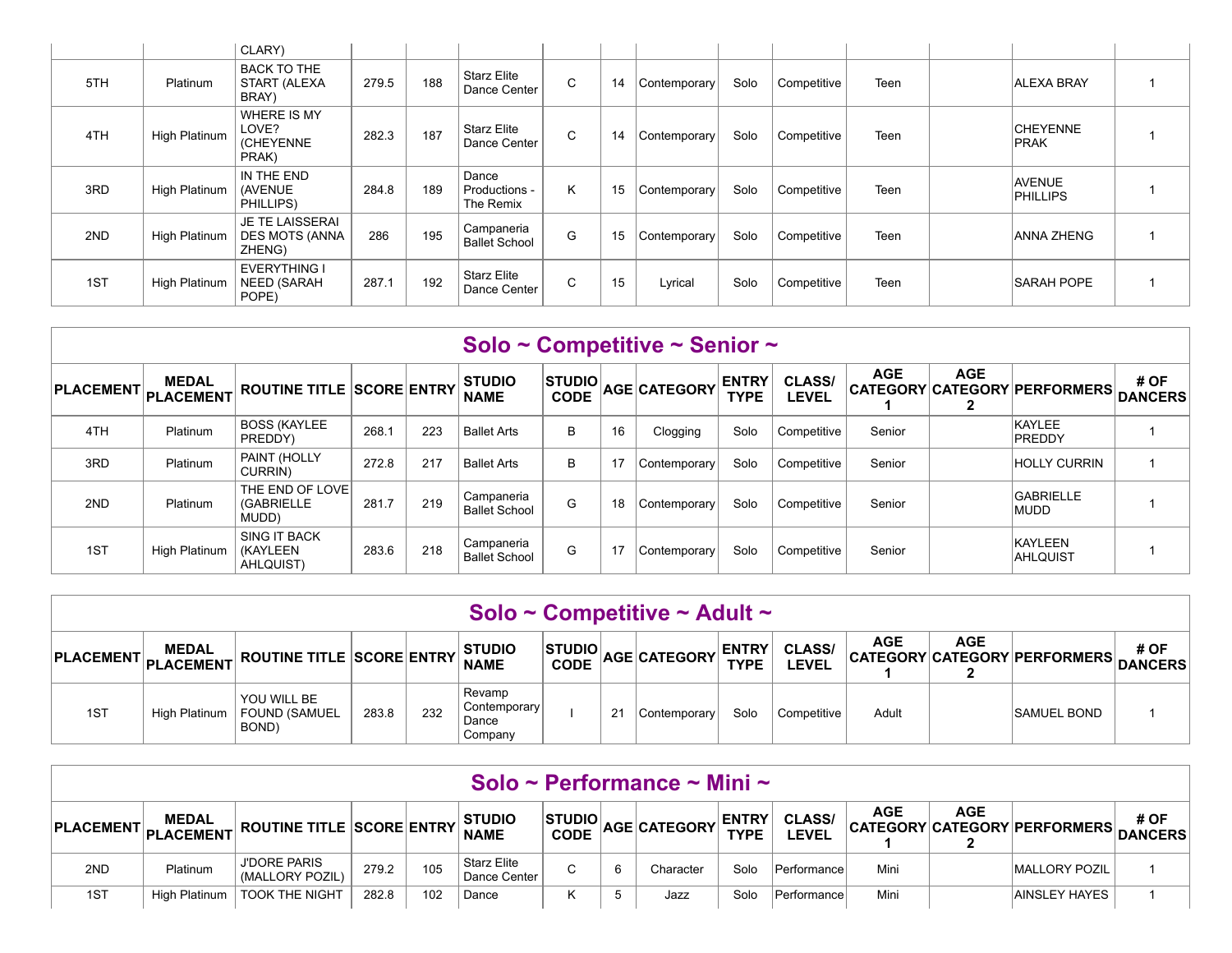|     |               | CLARY)                                                    |       |     |                                     |   |    |              |      |             |      |                                |  |
|-----|---------------|-----------------------------------------------------------|-------|-----|-------------------------------------|---|----|--------------|------|-------------|------|--------------------------------|--|
| 5TH | Platinum      | <b>BACK TO THE</b><br>START (ALEXA<br>BRAY)               | 279.5 | 188 | Starz Elite<br>Dance Center         | C | 14 | Contemporary | Solo | Competitive | Teen | <b>ALEXA BRAY</b>              |  |
| 4TH | High Platinum | <b>WHERE IS MY</b><br>LOVE?<br>(CHEYENNE<br>PRAK)         | 282.3 | 187 | <b>Starz Elite</b><br>Dance Center  | C | 14 | Contemporary | Solo | Competitive | Teen | <b>CHEYENNE</b><br><b>PRAK</b> |  |
| 3RD | High Platinum | IN THE END<br>(AVENUE)<br>PHILLIPS)                       | 284.8 | 189 | Dance<br>Productions -<br>The Remix | K | 15 | Contemporary | Solo | Competitive | Teen | <b>AVENUE</b><br>PHILLIPS      |  |
| 2ND | High Platinum | <b>JE TE LAISSERAI</b><br><b>DES MOTS (ANNA</b><br>ZHENG) | 286   | 195 | Campaneria<br><b>Ballet School</b>  | G | 15 | Contemporary | Solo | Competitive | Teen | ANNA ZHENG                     |  |
| 1ST | High Platinum | <b>EVERYTHING I</b><br><b>NEED (SARAH</b><br>POPE)        | 287.1 | 192 | <b>Starz Elite</b><br>Dance Center  | C | 15 | Lyrical      | Solo | Competitive | Teen | <b>SARAH POPE</b>              |  |

|                            |               |                                                      |       |     |                                    |                              |    | Solo ~ Competitive ~ Senior ~ |                             |                        |            |            |                                      |      |
|----------------------------|---------------|------------------------------------------------------|-------|-----|------------------------------------|------------------------------|----|-------------------------------|-----------------------------|------------------------|------------|------------|--------------------------------------|------|
| <b>PLACEMENT</b> PLACEMENT | <b>MEDAL</b>  | <b>ROUTINE TITLE SCORE ENTRY</b>                     |       |     | <b>STUDIO</b><br><b>NAME</b>       | <b>STUDIO</b><br><b>CODE</b> |    | AGE CATEGORY                  | <b>ENTRY</b><br><b>TYPE</b> | <b>CLASS/</b><br>LEVEL | <b>AGE</b> | <b>AGE</b> | CATEGORY CATEGORY PERFORMERS DANCERS | # OF |
| 4TH                        | Platinum      | <b>BOSS (KAYLEE</b><br>PREDDY)                       | 268.1 | 223 | <b>Ballet Arts</b>                 | B                            | 16 | Clogging                      | Solo                        | Competitive            | Senior     |            | KAYLEE<br><b>PREDDY</b>              |      |
| 3RD                        | Platinum      | PAINT (HOLLY<br>CURRIN)                              | 272.8 | 217 | <b>Ballet Arts</b>                 | B                            | 17 | Contemporary                  | Solo                        | Competitive            | Senior     |            | <b>HOLLY CURRIN</b>                  |      |
| 2ND                        | Platinum      | THE END OF LOVE<br><b>(GABRIELLE</b><br>MUDD)        | 281.7 | 219 | Campaneria<br><b>Ballet School</b> | G                            | 18 | Contemporary                  | Solo                        | Competitive            | Senior     |            | <b>GABRIELLE</b><br><b>IMUDD</b>     |      |
| 1ST                        | High Platinum | <b>SING IT BACK</b><br><b>(KAYLEEN)</b><br>AHLQUIST) | 283.6 | 218 | Campaneria<br><b>Ballet School</b> | G                            | 17 | Contemporary                  | Solo                        | Competitive            | Senior     |            | KAYLEEN<br><b>AHLQUIST</b>           |      |

|                  |                           |                                       |       |     |                                            |                               |    | Solo ~ Competitive ~ Adult ~ |                             |                              |            |            |                                      |      |
|------------------|---------------------------|---------------------------------------|-------|-----|--------------------------------------------|-------------------------------|----|------------------------------|-----------------------------|------------------------------|------------|------------|--------------------------------------|------|
| <b>PLACEMENT</b> | <b>MEDAL</b><br>PLACEMENT | <b>ROUTINE TITLE SCORE ENTRY</b>      |       |     | <b>STUDIO</b><br><b>NAME</b>               | <b>STUDIOL</b><br><b>CODE</b> |    | AGE CATEGORY                 | <b>ENTRY</b><br><b>TYPE</b> | <b>CLASS/</b><br><b>EVEL</b> | <b>AGE</b> | <b>AGE</b> | CATEGORY CATEGORY PERFORMERS DANCERS | # OF |
| 1ST              | High Platinum             | YOU WILL BE<br>FOUND (SAMUEL<br>BOND) | 283.8 | 232 | Revamp<br>Contemporary<br>Dance<br>Company |                               | 21 | Contemporary                 | Solo                        | Competitive                  | Adult      |            | <b>SAMUEL BOND</b>                   |      |

|     |               |                                                    |       |     |                                          |                |   | Solo ~ Performance ~ Mini ~ |                             |                               |            |            |                                      |      |
|-----|---------------|----------------------------------------------------|-------|-----|------------------------------------------|----------------|---|-----------------------------|-----------------------------|-------------------------------|------------|------------|--------------------------------------|------|
|     | <b>MEDAL</b>  | PLACEMENT PLACEMENT ROUTINE TITLE SCORE ENTRY NAME |       |     | <b>STUDIO</b>                            | <b>STUDIOL</b> |   | CODE AGE CATEGORY           | <b>ENTRY</b><br><b>TYPE</b> | <b>CLASS/</b><br><b>LEVEL</b> | <b>AGE</b> | <b>AGE</b> | CATEGORY CATEGORY PERFORMERS DANCERS | # OF |
| 2ND | Platinum      | <b>J'DORE PARIS</b><br>(MALLORY POZIL)             | 279.2 | 105 | <sup>1</sup> Starz Elite<br>Dance Center | С              | 6 | Character                   | Solo                        | Performance                   | Mini       |            | <b>MALLORY POZIL</b>                 |      |
| 1ST | High Platinum | <b>TOOK THE NIGHT</b>                              | 282.8 | 102 | Dance                                    |                |   | Jazz                        | Solo                        | Performance                   | Mini       |            | <b>AINSLEY HAYES</b>                 |      |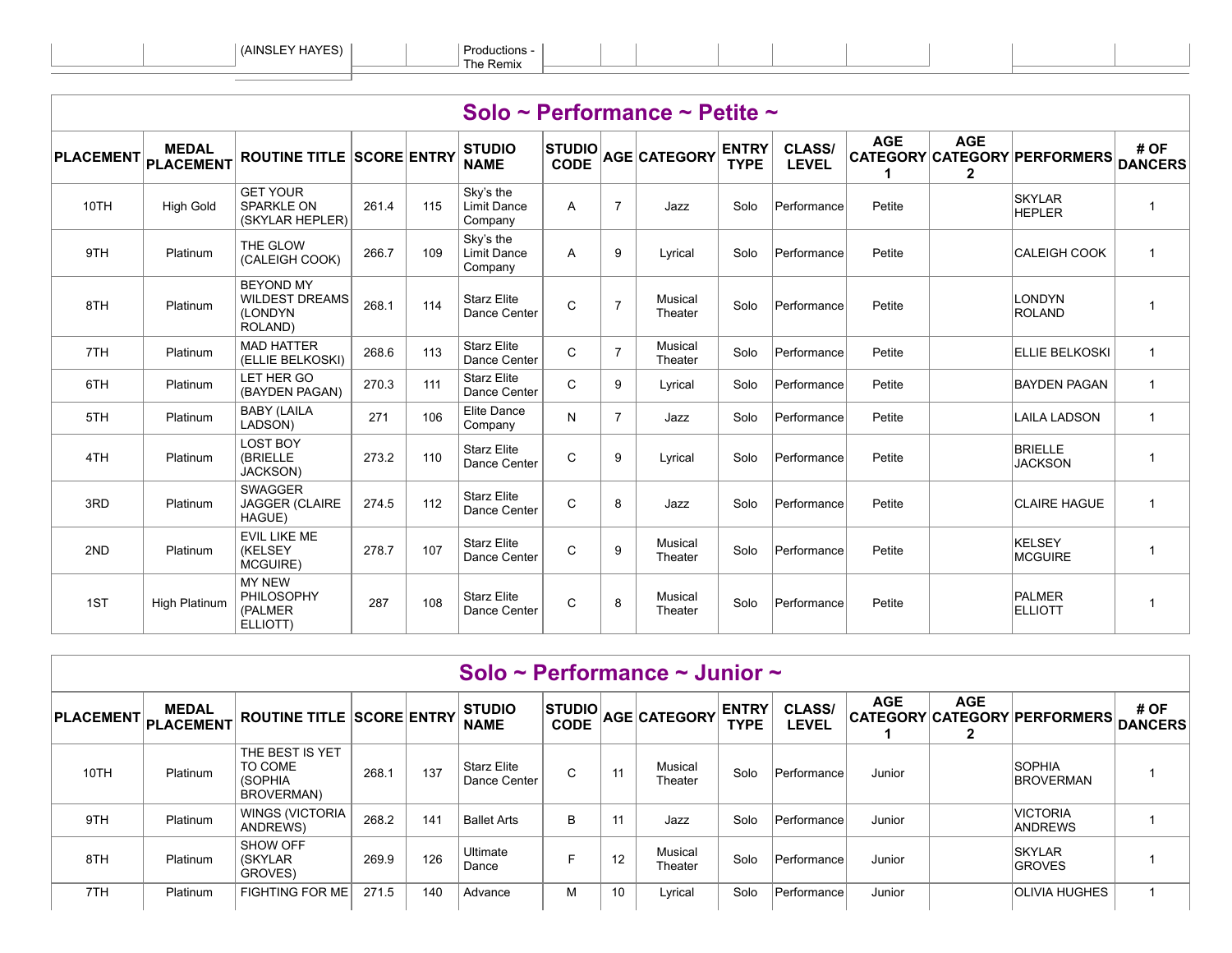ELLIOTT)

|                  |                           |                                                                 |       |     |                                            |                               |                | Solo ~ Performance ~ Petite ~ |                             |                               |            |                            |                                     |                        |
|------------------|---------------------------|-----------------------------------------------------------------|-------|-----|--------------------------------------------|-------------------------------|----------------|-------------------------------|-----------------------------|-------------------------------|------------|----------------------------|-------------------------------------|------------------------|
| <b>PLACEMENT</b> | <b>MEDAL</b><br>PLACEMENT | <b>ROUTINE TITLE SCORE ENTRY</b>                                |       |     | <b>STUDIO</b><br><b>NAME</b>               | $ $ STUDIO $ $<br><b>CODE</b> |                | <b>AGE CATEGORY</b>           | <b>ENTRY</b><br><b>TYPE</b> | <b>CLASS/</b><br><b>LEVEL</b> | <b>AGE</b> | <b>AGE</b><br>$\mathbf{2}$ | <b>CATEGORY CATEGORY PERFORMERS</b> | # OF<br><b>DANCERS</b> |
| 10TH             | <b>High Gold</b>          | <b>GET YOUR</b><br><b>SPARKLE ON</b><br>(SKYLAR HEPLER)         | 261.4 | 115 | Sky's the<br><b>Limit Dance</b><br>Company | A                             | $\overline{7}$ | Jazz                          | Solo                        | Performance                   | Petite     |                            | <b>SKYLAR</b><br><b>HEPLER</b>      | $\mathbf{1}$           |
| 9TH              | Platinum                  | THE GLOW<br>(CALEIGH COOK)                                      | 266.7 | 109 | Sky's the<br>Limit Dance<br>Company        | A                             | 9              | Lyrical                       | Solo                        | Performance                   | Petite     |                            | <b>CALEIGH COOK</b>                 | $\mathbf{1}$           |
| 8TH              | Platinum                  | <b>BEYOND MY</b><br><b>WILDEST DREAMS</b><br>(LONDYN<br>ROLAND) | 268.1 | 114 | <b>Starz Elite</b><br>Dance Center         | $\mathsf{C}$                  | $\overline{7}$ | Musical<br>Theater            | Solo                        | Performance                   | Petite     |                            | LONDYN<br>ROLAND                    | $\mathbf{1}$           |
| 7TH              | Platinum                  | <b>MAD HATTER</b><br>(ELLIE BELKOSKI)                           | 268.6 | 113 | <b>Starz Elite</b><br>Dance Center         | C                             | $\overline{7}$ | Musical<br>Theater            | Solo                        | Performance                   | Petite     |                            | <b>ELLIE BELKOSKI</b>               | $\mathbf{1}$           |
| 6TH              | Platinum                  | LET HER GO<br>(BAYDEN PAGAN)                                    | 270.3 | 111 | <b>Starz Elite</b><br>Dance Center         | $\mathsf{C}$                  | 9              | Lyrical                       | Solo                        | Performance                   | Petite     |                            | <b>BAYDEN PAGAN</b>                 | $\mathbf{1}$           |
| 5TH              | Platinum                  | <b>BABY (LAILA</b><br>LADSON)                                   | 271   | 106 | <b>Elite Dance</b><br>Company              | N                             | $\overline{7}$ | Jazz                          | Solo                        | Performance                   | Petite     |                            | <b>LAILA LADSON</b>                 | $\mathbf{1}$           |
| 4TH              | Platinum                  | <b>LOST BOY</b><br>(BRIELLE<br>JACKSON)                         | 273.2 | 110 | <b>Starz Elite</b><br>Dance Center         | $\mathsf{C}$                  | 9              | Lyrical                       | Solo                        | Performance                   | Petite     |                            | <b>BRIELLE</b><br><b>JACKSON</b>    | $\mathbf{1}$           |
| 3RD              | Platinum                  | <b>SWAGGER</b><br><b>JAGGER (CLAIRE</b><br>HAGUE)               | 274.5 | 112 | <b>Starz Elite</b><br>Dance Center         | $\mathsf{C}$                  | 8              | Jazz                          | Solo                        | Performance                   | Petite     |                            | <b>CLAIRE HAGUE</b>                 | $\mathbf{1}$           |
| 2ND              | Platinum                  | EVIL LIKE ME<br><b>(KELSEY</b><br>MCGUIRE)                      | 278.7 | 107 | <b>Starz Elite</b><br>Dance Center         | $\mathsf{C}$                  | 9              | Musical<br>Theater            | Solo                        | Performance                   | Petite     |                            | KELSEY<br><b>MCGUIRE</b>            | $\mathbf{1}$           |
| 1ST              | High Platinum             | <b>MY NEW</b><br><b>PHILOSOPHY</b><br>(PALMER                   | 287   | 108 | <b>Starz Elite</b><br>Dance Center         | $\mathsf{C}$                  | 8              | Musical<br>Theater            | Solo                        | Performance                   | Petite     |                            | PALMER<br><b>ELLIOTT</b>            | $\mathbf{1}$           |

|                     |              |                                                     |       |     | Solo ~ Performance ~ Junior ~      |                              |    |                     |                             |                               |            |            |                                      |      |
|---------------------|--------------|-----------------------------------------------------|-------|-----|------------------------------------|------------------------------|----|---------------------|-----------------------------|-------------------------------|------------|------------|--------------------------------------|------|
| PLACEMENT PLACEMENT | <b>MEDAL</b> | <b>ROUTINE TITLE SCORE ENTRY</b>                    |       |     | <b>STUDIO</b><br><b>NAME</b>       | <b>STUDIO</b><br><b>CODE</b> |    | <b>AGE CATEGORY</b> | <b>ENTRY</b><br><b>TYPE</b> | <b>CLASS/</b><br><b>LEVEL</b> | <b>AGE</b> | <b>AGE</b> | CATEGORY CATEGORY PERFORMERS DANCERS | # OF |
| 10TH                | Platinum     | THE BEST IS YET<br>TO COME<br>(SOPHIA<br>BROVERMAN) | 268.1 | 137 | <b>Starz Elite</b><br>Dance Center | $\sim$<br>U                  | 11 | Musical<br>Theater  | Solo                        | Performance                   | Junior     |            | <b>SOPHIA</b><br><b>BROVERMAN</b>    |      |
| 9TH                 | Platinum     | <b>WINGS (VICTORIA</b><br><b>ANDREWS</b>            | 268.2 | 141 | <b>Ballet Arts</b>                 | B                            | 11 | Jazz                | Solo                        | Performance                   | Junior     |            | <b>VICTORIA</b><br><b>ANDREWS</b>    |      |
| 8TH                 | Platinum     | <b>SHOW OFF</b><br><b>(SKYLAR)</b><br>GROVES)       | 269.9 | 126 | Ultimate<br>Dance                  |                              | 12 | Musical<br>Theater  | Solo                        | Performance                   | Junior     |            | <b>SKYLAR</b><br><b>GROVES</b>       |      |
| 7TH                 | Platinum     | <b>FIGHTING FOR ME</b>                              | 271.5 | 140 | Advance                            | М                            | 10 | Lyrical             | Solo                        | Performance                   | Junior     |            | <b>OLIVIA HUGHES</b>                 |      |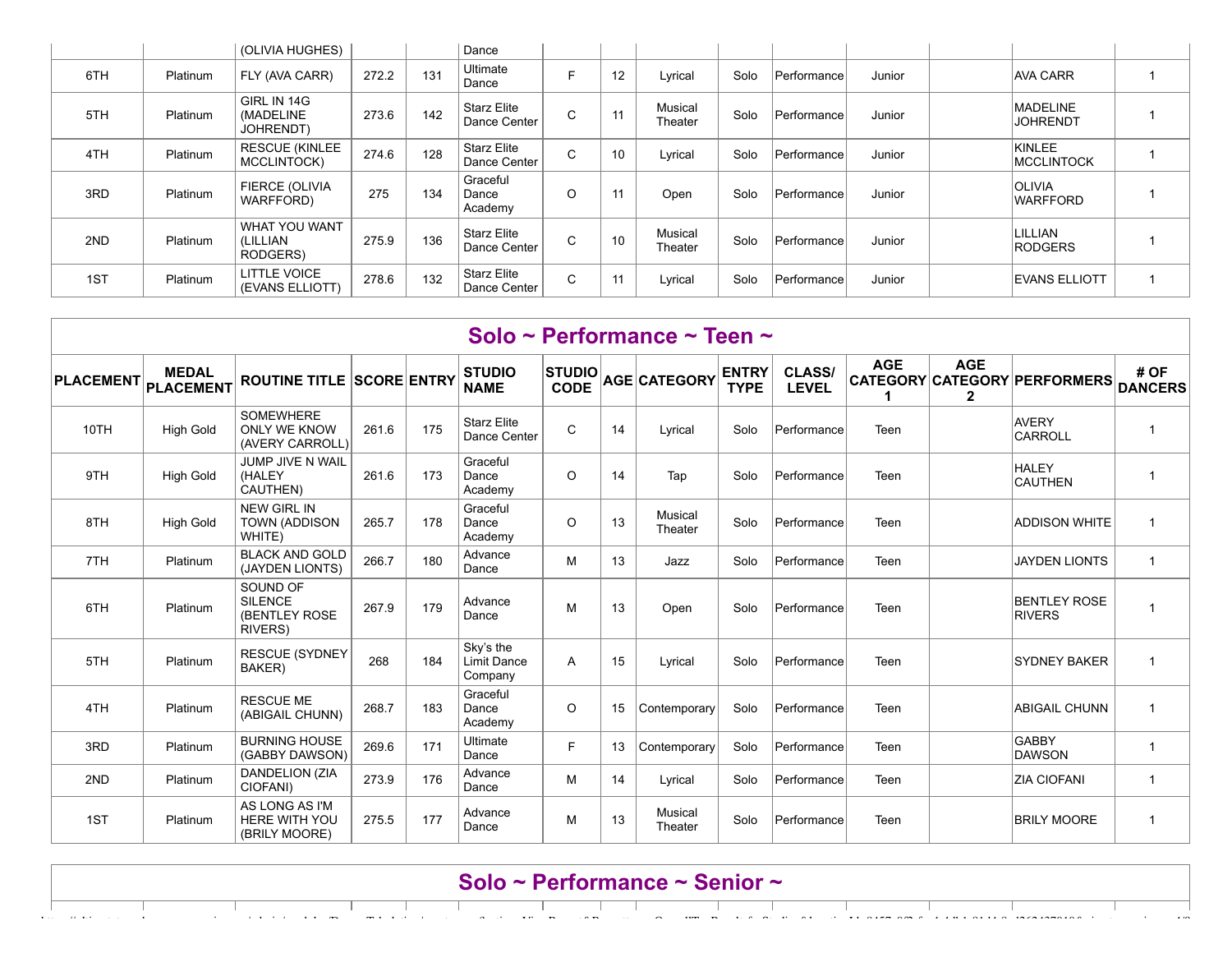|     |          | (OLIVIA HUGHES)                        |       |     | Dance                              |             |    |                    |      |             |        |                                    |  |
|-----|----------|----------------------------------------|-------|-----|------------------------------------|-------------|----|--------------------|------|-------------|--------|------------------------------------|--|
| 6TH | Platinum | FLY (AVA CARR)                         | 272.2 | 131 | Ultimate<br>Dance                  |             | 12 | Lyrical            | Solo | Performance | Junior | <b>AVA CARR</b>                    |  |
| 5TH | Platinum | GIRL IN 14G<br>(MADELINE<br>JOHRENDT)  | 273.6 | 142 | Starz Elite<br>Dance Center        | $\sim$<br>◡ | 11 | Musical<br>Theater | Solo | Performance | Junior | <b>MADELINE</b><br><b>JOHRENDT</b> |  |
| 4TH | Platinum | <b>RESCUE (KINLEE</b><br>MCCLINTOCK)   | 274.6 | 128 | <b>Starz Elite</b><br>Dance Center | C           | 10 | Lyrical            | Solo | Performance | Junior | KINLEE<br><b>MCCLINTOCK</b>        |  |
| 3RD | Platinum | FIERCE (OLIVIA<br>WARFFORD)            | 275   | 134 | Graceful<br>Dance<br>Academy       | O           | 11 | Open               | Solo | Performance | Junior | <b>OLIVIA</b><br><b>WARFFORD</b>   |  |
| 2ND | Platinum | WHAT YOU WANT<br>(LILLIAN<br>RODGERS)  | 275.9 | 136 | Starz Elite<br>Dance Center        | $\sim$<br>◡ | 10 | Musical<br>Theater | Solo | Performance | Junior | LILLIAN<br>RODGERS                 |  |
| 1ST | Platinum | <b>LITTLE VOICE</b><br>(EVANS ELLIOTT) | 278.6 | 132 | Starz Elite<br>Dance Center        | C           | 11 | Lyrical            | Solo | Performance | Junior | <b>IEVANS ELLIOTT</b>              |  |

|                  |                                  |                                                                |       |     |                                            |                              |    | Solo ~ Performance ~ Teen ~ |                             |                               |            |                 |                                      |                        |
|------------------|----------------------------------|----------------------------------------------------------------|-------|-----|--------------------------------------------|------------------------------|----|-----------------------------|-----------------------------|-------------------------------|------------|-----------------|--------------------------------------|------------------------|
| <b>PLACEMENT</b> | <b>MEDAL</b><br><b>PLACEMENT</b> | <b>ROUTINE TITLE SCORE ENTRY</b>                               |       |     | <b>STUDIO</b><br><b>NAME</b>               | <b>STUDIO</b><br><b>CODE</b> |    | AGE CATEGORY                | <b>ENTRY</b><br><b>TYPE</b> | <b>CLASS/</b><br><b>LEVEL</b> | <b>AGE</b> | <b>AGE</b><br>2 | CATEGORY CATEGORY PERFORMERS         | # OF<br><b>DANCERS</b> |
| 10TH             | <b>High Gold</b>                 | <b>SOMEWHERE</b><br><b>ONLY WE KNOW</b><br>(AVERY CARROLL)     | 261.6 | 175 | <b>Starz Elite</b><br>Dance Center         | $\mathsf{C}$                 | 14 | Lyrical                     | Solo                        | Performance                   | Teen       |                 | <b>AVERY</b><br>CARROLL              | $\overline{1}$         |
| 9TH              | <b>High Gold</b>                 | JUMP JIVE N WAIL<br>(HALEY<br>CAUTHEN)                         | 261.6 | 173 | Graceful<br>Dance<br>Academy               | O                            | 14 | Tap                         | Solo                        | Performance                   | Teen       |                 | <b>HALEY</b><br><b>CAUTHEN</b>       | $\overline{1}$         |
| 8TH              | <b>High Gold</b>                 | <b>NEW GIRL IN</b><br><b>TOWN (ADDISON</b><br>WHITE)           | 265.7 | 178 | Graceful<br>Dance<br>Academy               | O                            | 13 | Musical<br>Theater          | Solo                        | Performance                   | Teen       |                 | <b>ADDISON WHITE</b>                 | $\overline{1}$         |
| 7TH              | Platinum                         | <b>BLACK AND GOLD</b><br>(JAYDEN LIONTS)                       | 266.7 | 180 | Advance<br>Dance                           | м                            | 13 | Jazz                        | Solo                        | Performance                   | Teen       |                 | <b>JAYDEN LIONTS</b>                 | $\mathbf{1}$           |
| 6TH              | Platinum                         | SOUND OF<br><b>SILENCE</b><br>(BENTLEY ROSE<br><b>RIVERS</b> ) | 267.9 | 179 | Advance<br>Dance                           | М                            | 13 | Open                        | Solo                        | Performance                   | Teen       |                 | <b>BENTLEY ROSE</b><br><b>RIVERS</b> | $\overline{1}$         |
| 5TH              | Platinum                         | <b>RESCUE (SYDNEY</b><br>BAKER)                                | 268   | 184 | Sky's the<br><b>Limit Dance</b><br>Company | A                            | 15 | Lyrical                     | Solo                        | Performance                   | Teen       |                 | <b>SYDNEY BAKER</b>                  | $\overline{1}$         |
| 4TH              | Platinum                         | <b>RESCUE ME</b><br>(ABIGAIL CHUNN)                            | 268.7 | 183 | Graceful<br>Dance<br>Academy               | $\Omega$                     | 15 | Contemporary                | Solo                        | Performance                   | Teen       |                 | <b>ABIGAIL CHUNN</b>                 | $\overline{1}$         |
| 3RD              | Platinum                         | <b>BURNING HOUSE</b><br>(GABBY DAWSON)                         | 269.6 | 171 | Ultimate<br>Dance                          | F.                           | 13 | Contemporary                | Solo                        | Performance                   | Teen       |                 | GABBY<br>DAWSON                      | $\overline{1}$         |
| 2ND              | Platinum                         | <b>DANDELION (ZIA</b><br>CIOFANI)                              | 273.9 | 176 | Advance<br>Dance                           | М                            | 14 | Lyrical                     | Solo                        | Performance                   | Teen       |                 | <b>ZIA CIOFANI</b>                   | $\mathbf{1}$           |
| 1ST              | Platinum                         | AS LONG AS I'M<br><b>HERE WITH YOU</b><br>(BRILY MOORE)        | 275.5 | 177 | Advance<br>Dance                           | М                            | 13 | Musical<br>Theater          | Solo                        | Performance                   | Teen       |                 | <b>BRILY MOORE</b>                   | $\overline{1}$         |

## **Solo ~ Performance ~ Senior ~**

https://ultimatetour.dancecompgenie.com/admin/modules/Dance-Tabulation/empty.aspx?action=ViewReport&Reporttype=OverallTopResultsforStudios&locationId=8457c0f2-fcc4-4db1-81d4-8ed262437010&viewtype=vi… 4/9

 $\overline{\phantom{a}}$ 

 $\top$ 

and the con-

 $\mathbf{1}$ 

Т

 $\overline{1}$ 

 $\sim$  11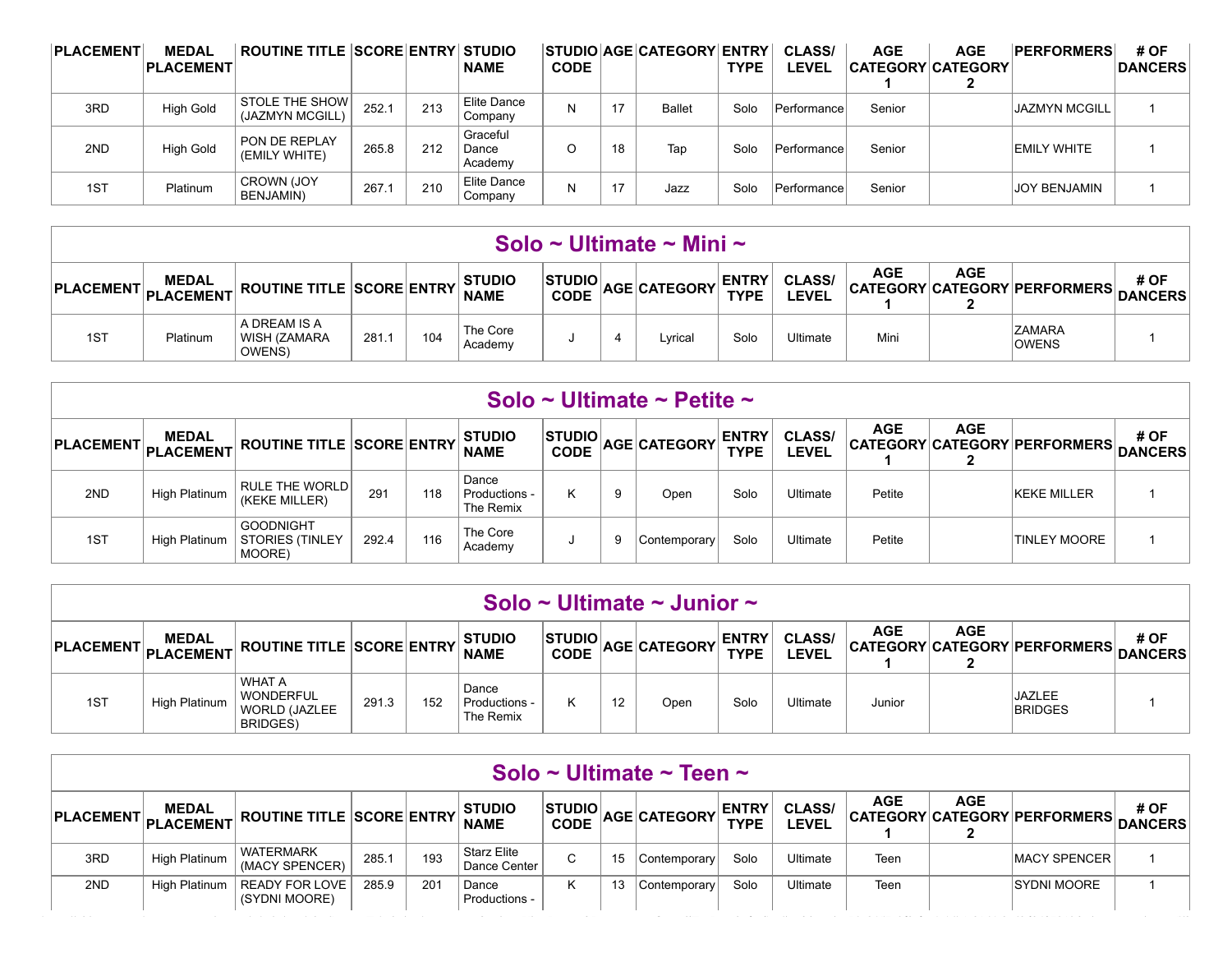| <b>PLACEMENT</b> | <b>MEDAL</b><br><b>PLACEMENT</b> | <b>ROUTINE TITLE SCORE ENTRY STUDIO</b>  |       |     | <b>NAME</b>                  | <b>CODE</b> |    | STUDIO AGE CATEGORY ENTRY | <b>TYPE</b> | <b>CLASS/</b><br><b>EVEL</b> | <b>AGE</b> | <b>AGE</b><br><b>CATEGORY CATEGORY</b> | <b>PERFORMERS</b>    | # OF<br><b>DANCERS</b> |
|------------------|----------------------------------|------------------------------------------|-------|-----|------------------------------|-------------|----|---------------------------|-------------|------------------------------|------------|----------------------------------------|----------------------|------------------------|
| 3RD              | <b>High Gold</b>                 | <b>STOLE THE SHOW</b><br>(JAZMYN MCGILL) | 252.1 | 213 | Elite Dance<br>Company       |             | 17 | <b>Ballet</b>             | Solo        | Performance                  | Senior     |                                        | <b>JAZMYN MCGILL</b> |                        |
| 2ND              | <b>High Gold</b>                 | PON DE REPLAY<br>(EMILY WHITE)           | 265.8 | 212 | Graceful<br>Dance<br>Academy |             | 18 | Tap                       | Solo        | Performance                  | Senior     |                                        | <b>EMILY WHITE</b>   |                        |
| 1ST              | Platinum                         | <b>CROWN (JOY)</b><br>BENJAMIN)          | 267.1 | 210 | Elite Dance<br>Company       |             | 17 | Jazz                      | Solo        | Performance                  | Senior     |                                        | <b>JOY BENJAMIN</b>  |                        |

|                                                                                                                                                                                                                                                                                                                 |          |                                        |       |     |                     |  |  | Solo ~ Ultimate ~ Mini ~ |      |          |      |  |                               |  |
|-----------------------------------------------------------------------------------------------------------------------------------------------------------------------------------------------------------------------------------------------------------------------------------------------------------------|----------|----------------------------------------|-------|-----|---------------------|--|--|--------------------------|------|----------|------|--|-------------------------------|--|
| <b>AGE</b><br><b>AGE</b><br># OF<br><b>ENTRY</b><br><b>STUDIO</b><br><b>MEDAL</b><br><b>STUDIO</b><br><b>CLASS/</b><br><b>NT PLACEMENT ROUTINE TITLE SCORE ENTRY </b><br>AGE CATEGORY<br>CATEGORY CATEGORY PERFORMERS DANCERS<br><b>PLACEMENT.</b><br><b>TYPE</b><br><b>CODE</b><br><b>LEVEL</b><br><b>NAME</b> |          |                                        |       |     |                     |  |  |                          |      |          |      |  |                               |  |
| 1ST                                                                                                                                                                                                                                                                                                             | Platinum | A DREAM IS A<br>WISH (ZAMARA<br>OWENS) | 281.1 | 104 | The Core<br>Academy |  |  | Lvrical                  | Solo | Ultimate | Mini |  | <b>ZAMARA</b><br><b>OWENS</b> |  |

|                       |               |                                                      |       |     |                                     |                         |   | Solo ~ Ultimate ~ Petite ~ |                             |                               |            |            |                                      |      |
|-----------------------|---------------|------------------------------------------------------|-------|-----|-------------------------------------|-------------------------|---|----------------------------|-----------------------------|-------------------------------|------------|------------|--------------------------------------|------|
| PLACEMENT PLACEMENT F | <b>MEDAL</b>  | <b>ROUTINE TITLE SCORE ENTRY</b>                     |       |     | <b>STUDIO</b><br><b>NAME</b>        | ISTUDIOI<br><b>CODE</b> |   | <b>AGE CATEGORY</b>        | <b>ENTRY</b><br><b>TYPE</b> | <b>CLASS/</b><br><b>LEVEL</b> | <b>AGE</b> | <b>AGE</b> | CATEGORY CATEGORY PERFORMERS DANCERS | # OF |
| 2ND                   | High Platinum | <b>RULE THE WORLD</b><br>(KEKE MILLER)               | 291   | 118 | Dance<br>Productions -<br>The Remix | κ                       |   | Open                       | Solo                        | Ultimate                      | Petite     |            | <b>KEKE MILLER</b>                   |      |
| 1ST                   | High Platinum | <b>GOODNIGHT</b><br><b>STORIES (TINLEY</b><br>MOORE) | 292.4 | 116 | The Core<br>Academy                 |                         | 9 | Contemporary               | Solo                        | Ultimate                      | Petite     |            | <b>TINLEY MOORE</b>                  |      |

|     |                                                                                                                                                                                                                                                                                                                                                                            |                                                                               |       |     |                                       |  |  | Solo ~ Ultimate ~ Junior ~ |      |          |        |  |                                 |  |  |
|-----|----------------------------------------------------------------------------------------------------------------------------------------------------------------------------------------------------------------------------------------------------------------------------------------------------------------------------------------------------------------------------|-------------------------------------------------------------------------------|-------|-----|---------------------------------------|--|--|----------------------------|------|----------|--------|--|---------------------------------|--|--|
|     | <b>AGE</b><br><b>AGE</b><br><b>STUDIOL</b><br># OF<br><b>ENTRY</b><br><b>CLASS/</b><br><b>STUDIO</b><br><b>MEDAL</b><br>$ \texttt{PLACEMENT} $ $ \texttt{PLACEMENT} $ ROUTINE TITLE $ \texttt{SCORE} $ ENTRY $ \texttt{PLACEMENT} $<br>$\sim$ CODE $ {\sf AGE} $ CATEGORY<br>CATEGORY CATEGORY PERFORMERS.<br><b>TYPE</b><br><b>DANCERS</b><br><b>LEVEL</b><br><b>NAME</b> |                                                                               |       |     |                                       |  |  |                            |      |          |        |  |                                 |  |  |
| 1ST | High Platinum                                                                                                                                                                                                                                                                                                                                                              | <b>WHAT A</b><br><b>WONDERFUL</b><br><b>WORLD (JAZLEE)</b><br><b>BRIDGES)</b> | 291.3 | 152 | Dance<br>. Productions -<br>The Remix |  |  | Open                       | Solo | Ultimate | Junior |  | <b>JAZLEE</b><br><b>BRIDGES</b> |  |  |

|                                                                                                                                                                                                                                                                                                               |               |                                    |       |     |                                    |    |    | Solo ~ Ultimate ~ Teen ~ |      |                 |      |  |                      |      |
|---------------------------------------------------------------------------------------------------------------------------------------------------------------------------------------------------------------------------------------------------------------------------------------------------------------|---------------|------------------------------------|-------|-----|------------------------------------|----|----|--------------------------|------|-----------------|------|--|----------------------|------|
| <b>AGE</b><br><b>AGE</b><br><b>ENTRY</b><br><b>STUDIO</b><br><b>STUDIOL</b><br><b>CLASS/</b><br><b>MEDAL</b><br><b>ROUTINE TITLE SCORE ENTRY</b><br>AGE CATEGORY<br>$ $ PLACEMENT $ $<br>CATEGORY CATEGORY PERFORMERS DANCERS<br><b>PLACEMENT</b><br><b>TYPE</b><br><b>EVEL</b><br><b>CODE</b><br><b>NAME</b> |               |                                    |       |     |                                    |    |    |                          |      |                 |      |  |                      | # OF |
| 3RD                                                                                                                                                                                                                                                                                                           | High Platinum | <b>WATERMARK</b><br>(MACY SPENCER) | 285.1 | 193 | <b>Starz Elite</b><br>Dance Center | C. | 15 | Contemporary             | Solo | <b>Jltimate</b> | Teen |  | <b>IMACY SPENCER</b> |      |
| 2ND                                                                                                                                                                                                                                                                                                           | High Platinum | READY FOR LOVE<br>(SYDNI MOORE)    | 285.9 | 201 | Dance<br>Productions -             |    |    | Contemporary             | Solo | <b>Ultimate</b> | Teen |  | <b>SYDNI MOORE</b>   |      |

https://ultimatetour.dancecompgenie.com/admin/modules/Dance-Tabulation/empty.aspx?action=ViewReport&Reporttype=OverallTopResultsforStudios&locationId=8457c0f2-fcc4-4db1-81d4-8ed262437010&viewtype=vi… 5/9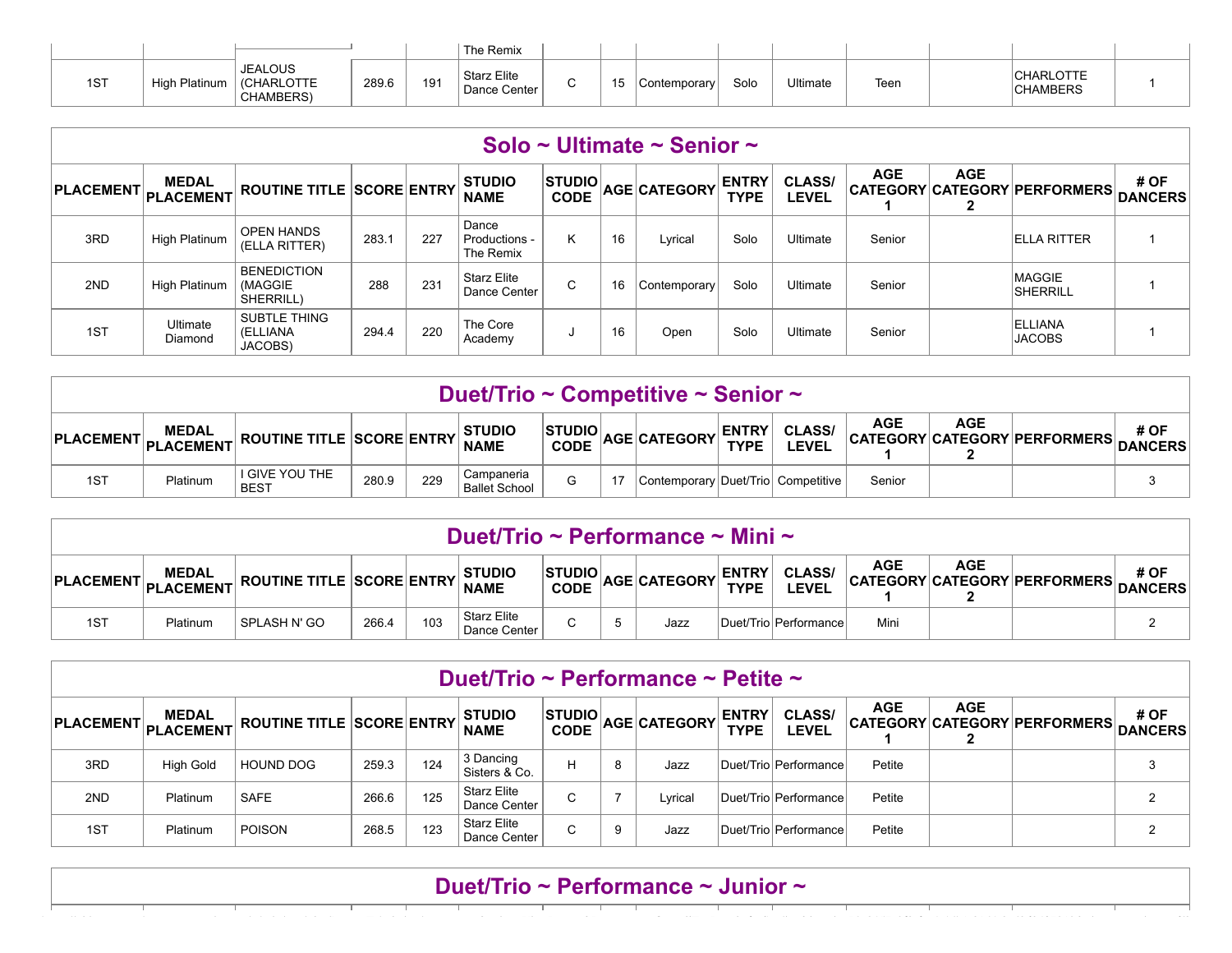|     |                  |                                                   |       |     | The Remix                          |         |                       |                  |      |          |      |                                     |  |
|-----|------------------|---------------------------------------------------|-------|-----|------------------------------------|---------|-----------------------|------------------|------|----------|------|-------------------------------------|--|
| 1ST | Hiah<br>Platinum | <b>JEALOUS</b><br><b>(CHARLOTTE)</b><br>CHAMBERS) | 289.6 | 191 | <b>Starz Elite</b><br>Dance Center | ∽<br>ъ. | 1 <sub>E</sub><br>⊣ ບ | , Contemporary ' | Solo | Ultimate | Teen | <b>CHARLOTTE</b><br><b>CHAMBERS</b> |  |

|                  |                           |                                             |       |     |                                     |                |    | Solo ~ Ultimate ~ Senior ~ |                             |                               |            |            |                                      |      |
|------------------|---------------------------|---------------------------------------------|-------|-----|-------------------------------------|----------------|----|----------------------------|-----------------------------|-------------------------------|------------|------------|--------------------------------------|------|
| <b>PLACEMENT</b> | <b>MEDAL</b><br>PLACEMENT | <b>ROUTINE TITLE SCORE ENTRY</b>            |       |     | <b>STUDIO</b><br><b>NAME</b>        | $ $ STUDIO $ $ |    | CODE AGE CATEGORY          | <b>ENTRY</b><br><b>TYPE</b> | <b>CLASS/</b><br><b>LEVEL</b> | <b>AGE</b> | <b>AGE</b> | CATEGORY CATEGORY PERFORMERS DANCERS | # OF |
| 3RD              | <b>High Platinum</b>      | <b>OPEN HANDS</b><br>(ELLA RITTER)          | 283.1 | 227 | Dance<br>Productions -<br>The Remix | K.             | 16 | Lyrical                    | Solo                        | Ultimate                      | Senior     |            | <b>IELLA RITTER</b>                  |      |
| 2ND              | High Platinum             | <b>BENEDICTION</b><br>(MAGGIE)<br>SHERRILL) | 288   | 231 | <b>Starz Elite</b><br>Dance Center  | $\sim$<br>Ü    | 16 | Contemporary               | Solo                        | Ultimate                      | Senior     |            | <b>MAGGIE</b><br><b>SHERRILL</b>     |      |
| 1ST              | Ultimate<br>Diamond       | <b>SUBTLE THING</b><br>(ELLIANA<br>JACOBS)  | 294.4 | 220 | The Core<br>Academy                 |                | 16 | Open                       | Solo                        | Ultimate                      | Senior     |            | <b>ELLIANA</b><br><b>JACOBS</b>      |      |

|     |                                                                                                                                                                                                                                                                                                                   |                               |       |     | Duet/Trio ~ Competitive ~ Senior ~ |   |  |                                    |  |  |        |  |  |  |
|-----|-------------------------------------------------------------------------------------------------------------------------------------------------------------------------------------------------------------------------------------------------------------------------------------------------------------------|-------------------------------|-------|-----|------------------------------------|---|--|------------------------------------|--|--|--------|--|--|--|
|     | <b>AGE</b><br><b>AGE</b><br><b>CLASS/</b><br># OF<br><b>ENTRY</b><br>$ \texttt{STUDIO} _\textsf{AGE} $ CATEGORY $ \cdot _\textsf{CODE} $<br><b>STUDIO</b><br><b>MEDAL</b><br>PLACEMENT PLACEMENT ROUTINE TITLE SCORE ENTRY NAME<br>CATEGORY CATEGORY PERFORMERS,<br><b>TYPE</b><br><b>LEVEL</b><br><b>DANCERS</b> |                               |       |     |                                    |   |  |                                    |  |  |        |  |  |  |
| 1ST | Platinum                                                                                                                                                                                                                                                                                                          | I GIVE YOU THE<br><b>BEST</b> | 280.9 | 229 | Campaneria<br><b>Ballet School</b> | G |  | Contemporary Duet/Trio Competitive |  |  | Senior |  |  |  |

|                    |                                                                                                                                                                                                                                                                                                                                                |              |       |     | Duet/Trio ~ Performance ~ Mini ~   |   |  |      |  |                         |      |  |  |   |
|--------------------|------------------------------------------------------------------------------------------------------------------------------------------------------------------------------------------------------------------------------------------------------------------------------------------------------------------------------------------------|--------------|-------|-----|------------------------------------|---|--|------|--|-------------------------|------|--|--|---|
| <b>PLACEMENTI.</b> | AGE<br><b>AGE</b><br><b>STUDIO</b><br><b>STUDIOL</b><br><b>ENTRY</b><br><b>CLASS/</b><br># OF<br><b>MEDAL</b><br>$\mathbf{\breve{\hspace{0.1in}}}$ AGE CATEGORY $\vert$ .<br>$ $ ROUTINE TITLE $ SCORE ENTRY $ .<br>CATEGORY CATEGORY PERFORMERS.<br><b>TYPE</b><br><b>NAME</b><br>$ $ PLACEMENT $ $<br>LEVEL<br><b>DANCERS</b><br><b>CODE</b> |              |       |     |                                    |   |  |      |  |                         |      |  |  |   |
| 1ST                | Platinum                                                                                                                                                                                                                                                                                                                                       | SPLASH N' GO | 266.4 | 103 | <b>Starz Elite</b><br>Dance Center | ^ |  | Jazz |  | Duet/Trio   Performance | Mini |  |  | ◠ |

|                                                                                                                                                                                                                                                                                                                       |                  |                  |       |     | Duet/Trio ~ Performance ~ Petite ~       |             |   |         |  |                         |        |  |  |  |
|-----------------------------------------------------------------------------------------------------------------------------------------------------------------------------------------------------------------------------------------------------------------------------------------------------------------------|------------------|------------------|-------|-----|------------------------------------------|-------------|---|---------|--|-------------------------|--------|--|--|--|
| <b>AGE</b><br><b>AGE</b><br># OF<br>ENTRY<br>TYPE<br>STUDIO  <br><b>CLASS/</b><br><b>MEDAL</b><br>  STUDIO<br>CODE AGE CATEGORY<br>$ \mathsf{PLACEMENT} $ $ \mathsf{PLACEMENT} $ ROUTINE TITLE $ \mathsf{SCORE} $ ENTRY $ \mathsf{PLACEMENT} $<br>CATEGORY CATEGORY PERFORMERS DANCERS<br><b>LEVEL</b><br><b>NAME</b> |                  |                  |       |     |                                          |             |   |         |  |                         |        |  |  |  |
| 3RD                                                                                                                                                                                                                                                                                                                   | <b>High Gold</b> | <b>HOUND DOG</b> | 259.3 | 124 | 3 Dancing<br>Sisters & Co.               |             | 8 | Jazz    |  | Duet/Trio   Performance | Petite |  |  |  |
| 2ND                                                                                                                                                                                                                                                                                                                   | <b>Platinum</b>  | <b>SAFE</b>      | 266.6 | 125 | <b>Starz Elite</b><br>Dance Center       | C.          |   | Lvrical |  | Duet/Trio Performance   | Petite |  |  |  |
| 1ST                                                                                                                                                                                                                                                                                                                   | Platinum         | <b>POISON</b>    | 268.5 | 123 | <sup>1</sup> Starz Elite<br>Dance Center | $\sim$<br>U | 9 | Jazz    |  | Duet/TriolPerformance   | Petite |  |  |  |

|  |  | Duet/Trio ~ Performance ~ Junior ~ |  |  |  |  |  |
|--|--|------------------------------------|--|--|--|--|--|
|  |  |                                    |  |  |  |  |  |
|  |  |                                    |  |  |  |  |  |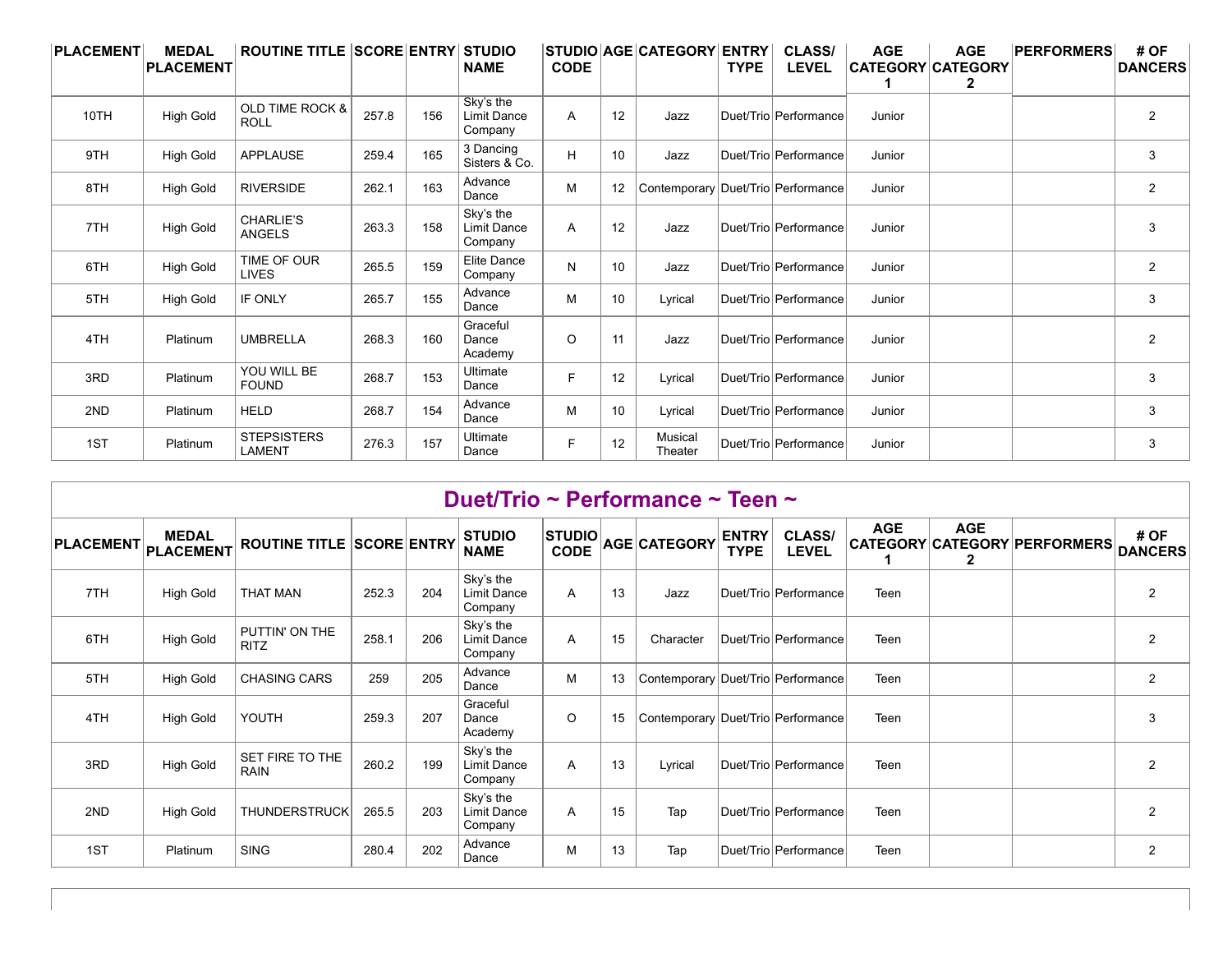| PLACEMENT | <b>MEDAL</b><br><b>PLACEMENT</b> | <b>ROUTINE TITLE SCORE ENTRY STUDIO</b>   |       |     | <b>NAME</b>                                | <b>CODE</b> |    | STUDIO AGE CATEGORY ENTRY          | <b>TYPE</b> | <b>CLASS/</b><br><b>LEVEL</b> | <b>AGE</b> | <b>AGE</b><br><b>CATEGORY CATEGORY</b><br>2 | <b>PERFORMERS</b> | # OF<br><b>DANCERS</b> |
|-----------|----------------------------------|-------------------------------------------|-------|-----|--------------------------------------------|-------------|----|------------------------------------|-------------|-------------------------------|------------|---------------------------------------------|-------------------|------------------------|
| 10TH      | <b>High Gold</b>                 | <b>OLD TIME ROCK &amp;</b><br><b>ROLL</b> | 257.8 | 156 | Sky's the<br>Limit Dance<br>Company        | A           | 12 | Jazz                               |             | Duet/Trio Performance         | Junior     |                                             |                   | $\overline{2}$         |
| 9TH       | <b>High Gold</b>                 | <b>APPLAUSE</b>                           | 259.4 | 165 | 3 Dancing<br>Sisters & Co.                 | H           | 10 | Jazz                               |             | Duet/Trio Performance         | Junior     |                                             |                   | 3                      |
| 8TH       | <b>High Gold</b>                 | <b>RIVERSIDE</b>                          | 262.1 | 163 | Advance<br>Dance                           | М           | 12 | Contemporary Duet/Trio Performance |             |                               | Junior     |                                             |                   | $\overline{2}$         |
| 7TH       | <b>High Gold</b>                 | <b>CHARLIE'S</b><br><b>ANGELS</b>         | 263.3 | 158 | Sky's the<br><b>Limit Dance</b><br>Company | Α           | 12 | Jazz                               |             | Duet/Trio Performance         | Junior     |                                             |                   | 3                      |
| 6TH       | <b>High Gold</b>                 | TIME OF OUR<br><b>LIVES</b>               | 265.5 | 159 | Elite Dance<br>Company                     | N           | 10 | Jazz                               |             | Duet/Trio Performance         | Junior     |                                             |                   | $\overline{2}$         |
| 5TH       | <b>High Gold</b>                 | IF ONLY                                   | 265.7 | 155 | Advance<br>Dance                           | М           | 10 | Lyrical                            |             | Duet/Trio Performance         | Junior     |                                             |                   | 3                      |
| 4TH       | Platinum                         | <b>UMBRELLA</b>                           | 268.3 | 160 | Graceful<br>Dance<br>Academy               | O           | 11 | Jazz                               |             | Duet/Trio Performance         | Junior     |                                             |                   | $\overline{2}$         |
| 3RD       | Platinum                         | YOU WILL BE<br><b>FOUND</b>               | 268.7 | 153 | Ultimate<br>Dance                          | F           | 12 | Lyrical                            |             | Duet/Trio Performance         | Junior     |                                             |                   | 3                      |
| 2ND       | Platinum                         | <b>HELD</b>                               | 268.7 | 154 | Advance<br>Dance                           | М           | 10 | Lyrical                            |             | Duet/Trio Performance         | Junior     |                                             |                   | 3                      |
| 1ST       | Platinum                         | <b>STEPSISTERS</b><br><b>LAMENT</b>       | 276.3 | 157 | Ultimate<br>Dance                          | F           | 12 | Musical<br>Theater                 |             | Duet/Trio Performance         | Junior     |                                             |                   | 3                      |

|     |                                     |                                  |       |     |                                            |                              |    | Duet/Trio ~ Performance ~ Teen ~   |                             |                               |            |                            |                              |                        |
|-----|-------------------------------------|----------------------------------|-------|-----|--------------------------------------------|------------------------------|----|------------------------------------|-----------------------------|-------------------------------|------------|----------------------------|------------------------------|------------------------|
|     | <b>MEDAL</b><br>PLACEMENT PLACEMENT | <b>ROUTINE TITLE SCORE ENTRY</b> |       |     | <b>STUDIO</b><br><b>NAME</b>               | <b>STUDIO</b><br><b>CODE</b> |    | AGE CATEGORY                       | <b>ENTRY</b><br><b>TYPE</b> | <b>CLASS/</b><br><b>LEVEL</b> | <b>AGE</b> | <b>AGE</b><br>$\mathbf{2}$ | CATEGORY CATEGORY PERFORMERS | # OF<br><b>DANCERS</b> |
| 7TH | <b>High Gold</b>                    | <b>THAT MAN</b>                  | 252.3 | 204 | Sky's the<br><b>Limit Dance</b><br>Company | A                            | 13 | Jazz                               |                             | Duet/Trio Performance         | Teen       |                            |                              | $\overline{2}$         |
| 6TH | <b>High Gold</b>                    | PUTTIN' ON THE<br><b>RITZ</b>    | 258.1 | 206 | Sky's the<br><b>Limit Dance</b><br>Company | Α                            | 15 | Character                          |                             | Duet/Trio Performance         | Teen       |                            |                              | $\overline{2}$         |
| 5TH | <b>High Gold</b>                    | <b>CHASING CARS</b>              | 259   | 205 | Advance<br>Dance                           | М                            | 13 | Contemporary Duet/Trio Performance |                             |                               | Teen       |                            |                              | $\overline{2}$         |
| 4TH | <b>High Gold</b>                    | YOUTH                            | 259.3 | 207 | Graceful<br>Dance<br>Academy               | O                            | 15 | Contemporary Duet/Trio Performance |                             |                               | Teen       |                            |                              | 3                      |
| 3RD | <b>High Gold</b>                    | SET FIRE TO THE<br><b>RAIN</b>   | 260.2 | 199 | Sky's the<br><b>Limit Dance</b><br>Company | A                            | 13 | Lyrical                            |                             | Duet/Trio Performance         | Teen       |                            |                              | $\overline{2}$         |
| 2ND | <b>High Gold</b>                    | THUNDERSTRUCK                    | 265.5 | 203 | Sky's the<br>Limit Dance<br>Company        | A                            | 15 | Tap                                |                             | Duet/Trio Performance         | Teen       |                            |                              | $\overline{2}$         |
| 1ST | Platinum                            | <b>SING</b>                      | 280.4 | 202 | Advance<br>Dance                           | М                            | 13 | Tap                                |                             | Duet/Trio Performance         | Teen       |                            |                              | $\overline{2}$         |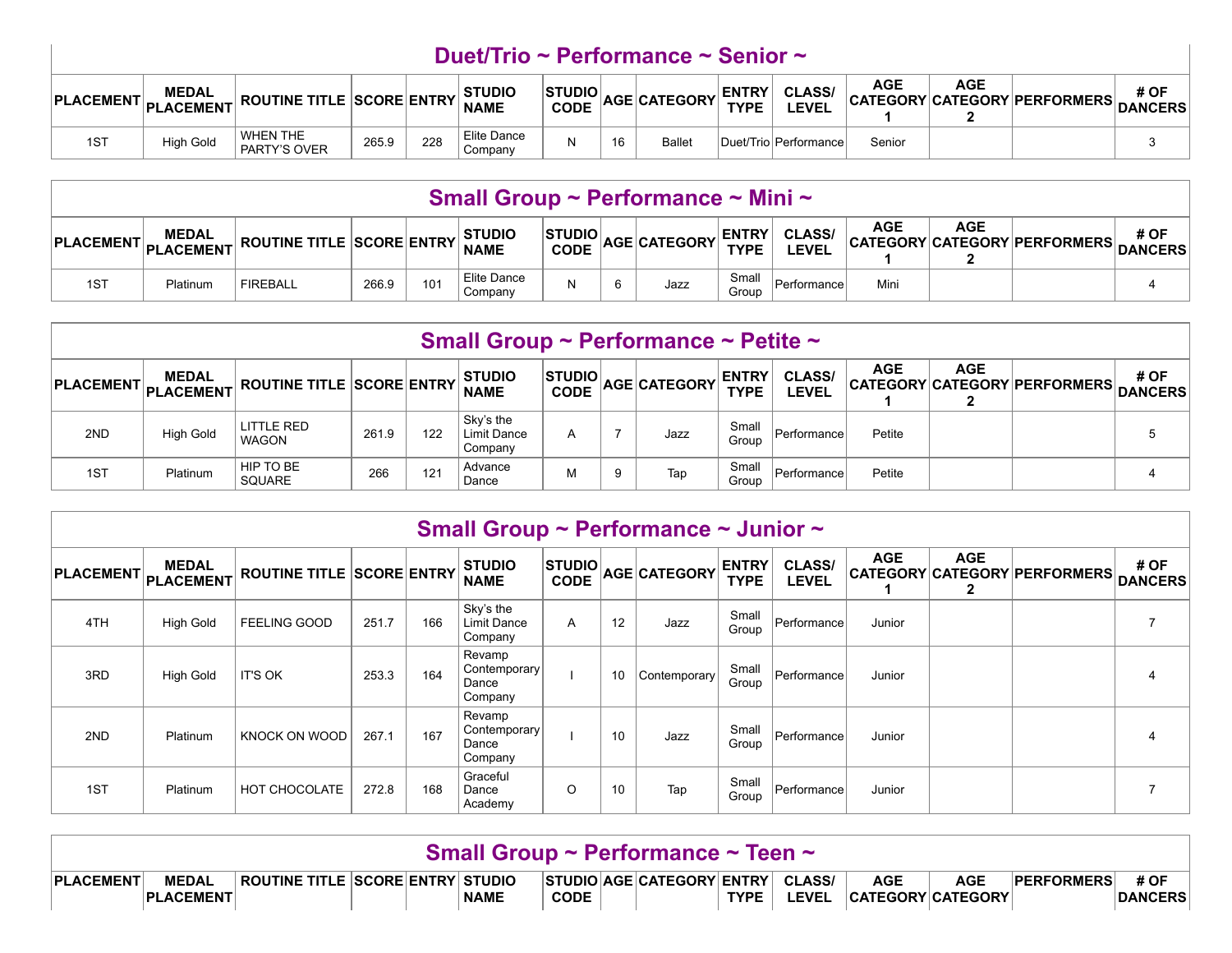|                                             | Duet/Trio ~ Performance ~ Senior ~ |                           |       |     |                              |                               |    |                     |                             |                        |            |            |                                      |      |
|---------------------------------------------|------------------------------------|---------------------------|-------|-----|------------------------------|-------------------------------|----|---------------------|-----------------------------|------------------------|------------|------------|--------------------------------------|------|
| $\vert$ PLACEMENT $\vert$ PLACEMENT $\vert$ | <b>MEDAL</b>                       | ROUTINE TITLE SCORE ENTRY |       |     | <b>STUDIO</b><br><b>NAME</b> | <b>STUDIOL</b><br><b>CODE</b> |    | <b>AGE CATEGORY</b> | <b>ENTRY</b><br><b>TYPE</b> | <b>CLASS/</b><br>LEVEL | <b>AGE</b> | <b>AGE</b> | CATEGORY CATEGORY PERFORMERS DANCERS | # OF |
| 1ST                                         | <b>High Gold</b>                   | WHEN THE<br>PARTY'S OVER  | 265.9 | 228 | Elite Dance<br>Company       |                               | 16 | <b>Ballet</b>       |                             | Duet/TriolPerformance  | Senior     |            |                                      |      |

|     | Small Group ~ Performance ~ Mini ~ |                                                    |       |     |                        |                |  |                   |                             |                               |      |            |                                      |      |
|-----|------------------------------------|----------------------------------------------------|-------|-----|------------------------|----------------|--|-------------------|-----------------------------|-------------------------------|------|------------|--------------------------------------|------|
|     | <b>MEDAL</b>                       | PLACEMENT PLACEMENT ROUTINE TITLE SCORE ENTRY NAME |       |     | <b>STUDIO</b>          | <b>STUDIOL</b> |  | CODE AGE CATEGORY | <b>ENTRY</b><br><b>TYPE</b> | <b>CLASS/</b><br><b>LEVEL</b> | AGE  | <b>AGE</b> | CATEGORY CATEGORY PERFORMERS DANCERS | # OF |
| 1ST | Platinum                           | <b>FIREBALL</b>                                    | 266.9 | 101 | Elite Dance<br>Company |                |  | Jazz              | Small<br>Group              | Performance                   | Mini |            |                                      |      |

|                       | Small Group ~ Performance ~ Petite ~ |                                  |       |     |                                     |                |   |                              |                             |                               |            |            |                                      |      |
|-----------------------|--------------------------------------|----------------------------------|-------|-----|-------------------------------------|----------------|---|------------------------------|-----------------------------|-------------------------------|------------|------------|--------------------------------------|------|
| PLACEMENT PLACEMENT F | <b>MEDAL</b>                         | <b>ROUTINE TITLE SCORE ENTRY</b> |       |     | <b>STUDIO</b><br><b>NAME</b>        | <b>STUDIOL</b> |   | $\sim$ CODE $ AGE CATEGORY $ | <b>ENTRY</b><br><b>TYPE</b> | <b>CLASS/</b><br><b>LEVEL</b> | <b>AGE</b> | <b>AGE</b> | CATEGORY CATEGORY PERFORMERS DANCERS | # OF |
| 2ND                   | <b>High Gold</b>                     | LITTLE RED<br><b>WAGON</b>       | 261.9 | 122 | Sky's the<br>Limit Dance<br>Company |                |   | Jazz                         | Small<br>Group              | Performance                   | Petite     |            |                                      |      |
| 1ST                   | Platinum                             | HIP TO BE<br><b>SQUARE</b>       | 266   | 121 | Advance<br>Dance                    | м              | 9 | Tap                          | Small<br>Group              | Performance                   | Petite     |            |                                      |      |

|     | Small Group ~ Performance ~ Junior ~ |                                  |       |     |                                            |                              |    |              |                             |                               |            |                 |                                     |                        |  |
|-----|--------------------------------------|----------------------------------|-------|-----|--------------------------------------------|------------------------------|----|--------------|-----------------------------|-------------------------------|------------|-----------------|-------------------------------------|------------------------|--|
|     | <b>MEDAL</b><br>PLACEMENT PLACEMENT  | <b>ROUTINE TITLE SCORE ENTRY</b> |       |     | <b>STUDIO</b><br><b>NAME</b>               | <b>STUDIO</b><br><b>CODE</b> |    | AGE CATEGORY | <b>ENTRY</b><br><b>TYPE</b> | <b>CLASS/</b><br><b>LEVEL</b> | <b>AGE</b> | <b>AGE</b><br>2 | <b>CATEGORY CATEGORY PERFORMERS</b> | # OF<br><b>DANCERS</b> |  |
| 4TH | <b>High Gold</b>                     | <b>FEELING GOOD</b>              | 251.7 | 166 | Sky's the<br><b>Limit Dance</b><br>Company | A                            | 12 | Jazz         | Small<br>Group              | Performance                   | Junior     |                 |                                     |                        |  |
| 3RD | <b>High Gold</b>                     | <b>IT'S OK</b>                   | 253.3 | 164 | Revamp<br>Contemporary<br>Dance<br>Company |                              | 10 | Contemporary | Small<br>Group              | Performance                   | Junior     |                 |                                     | 4                      |  |
| 2ND | Platinum                             | KNOCK ON WOOD                    | 267.1 | 167 | Revamp<br>Contemporary<br>Dance<br>Company |                              | 10 | Jazz         | Small<br>Group              | Performance'                  | Junior     |                 |                                     | 4                      |  |
| 1ST | Platinum                             | HOT CHOCOLATE                    | 272.8 | 168 | Graceful<br>Dance<br>Academy               | O                            | 10 | Tap          | Small<br>Group              | Performance                   | Junior     |                 |                                     |                        |  |

|                  | Small Group ~ Performance ~ Teen ~ |                                    |  |  |             |             |  |                                  |             |              |            |                                        |                   |                 |
|------------------|------------------------------------|------------------------------------|--|--|-------------|-------------|--|----------------------------------|-------------|--------------|------------|----------------------------------------|-------------------|-----------------|
| <b>PLACEMENT</b> | <b>MEDAL</b><br><b>PLACEMENT</b>   | ROUTINE TITLE  SCORE ENTRY  STUDIO |  |  | <b>NAME</b> | <b>CODE</b> |  | STUDIO AGE CATEGORY ENTRY CLASS/ | <b>TYPE</b> | <b>LEVEL</b> | <b>AGE</b> | <b>AGE</b><br><b>CATEGORY CATEGORY</b> | <b>PERFORMERS</b> | # OF<br>DANCERS |